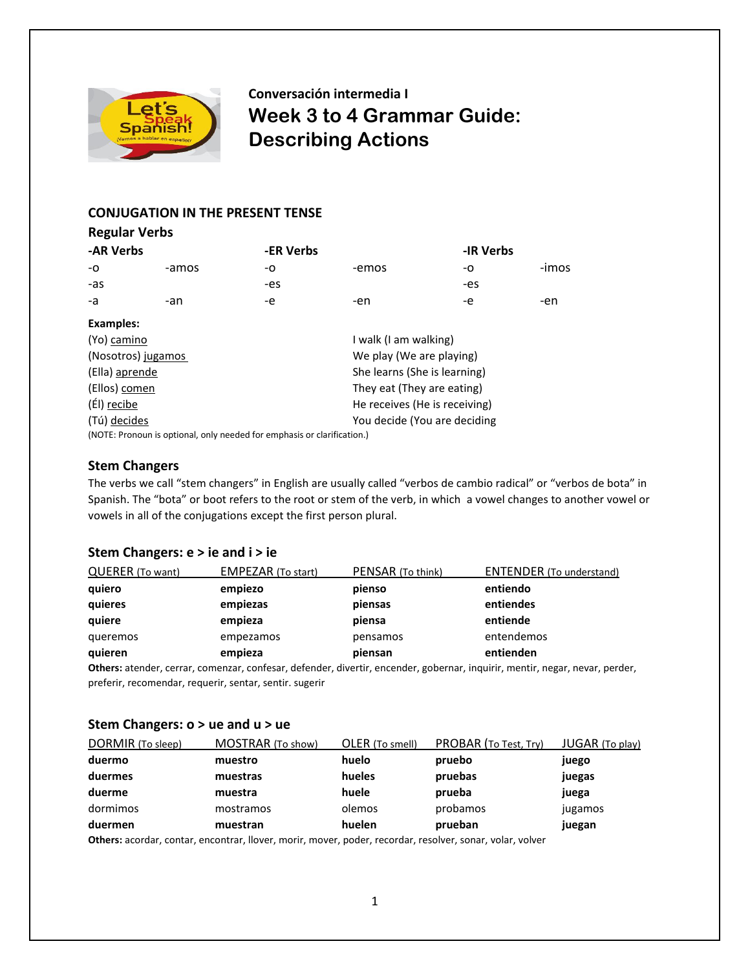

**Conversación intermedia I Week 3 to 4 Grammar Guide: Describing Actions** 

## **CONJUGATION IN THE PRESENT TENSE**

| <b>Regular Verbs</b> |       |                          |                               |           |       |
|----------------------|-------|--------------------------|-------------------------------|-----------|-------|
| -AR Verbs            |       | -ER Verbs                |                               | -IR Verbs |       |
| -O                   | -amos | -0                       | -emos                         | -0        | -imos |
| -as                  |       | -es                      |                               | -es       |       |
| -a                   | -an   | -e                       | -en                           | -e        | -en   |
| <b>Examples:</b>     |       |                          |                               |           |       |
| (Yo) camino          |       |                          | I walk (I am walking)         |           |       |
| (Nosotros) jugamos   |       | We play (We are playing) |                               |           |       |
| (Ella) aprende       |       |                          | She learns (She is learning)  |           |       |
| (Ellos) comen        |       |                          | They eat (They are eating)    |           |       |
| (Él) recibe          |       |                          | He receives (He is receiving) |           |       |
| (Tú) decides         |       |                          | You decide (You are deciding  |           |       |
|                      |       |                          |                               |           |       |

(NOTE: Pronoun is optional, only needed for emphasis or clarification.)

### **Stem Changers**

The verbs we call "stem changers" in English are usually called "verbos de cambio radical" or "verbos de bota" in Spanish. The "bota" or boot refers to the root or stem of the verb, in which a vowel changes to another vowel or vowels in all of the conjugations except the first person plural.

## **Stem Changers: e > ie and i > ie**

| QUERER (To want) | <b>EMPEZAR (To start)</b> | PENSAR (To think) | <b>ENTENDER</b> (To understand) |
|------------------|---------------------------|-------------------|---------------------------------|
| quiero           | empiezo                   | pienso            | entiendo                        |
| quieres          | empiezas                  | piensas           | entiendes                       |
| quiere           | empieza                   | piensa            | entiende                        |
| queremos         | empezamos                 | pensamos          | entendemos                      |
| quieren          | empieza                   | piensan           | entienden                       |

**Others:** atender, cerrar, comenzar, confesar, defender, divertir, encender, gobernar, inquirir, mentir, negar, nevar, perder, preferir, recomendar, requerir, sentar, sentir. sugerir

## **Stem Changers: o > ue and u > ue**

| DORMIR (To sleep) | MOSTRAR (To show) | OLER (To smell) | PROBAR (To Test, Try) | <b>JUGAR</b> (To play) |
|-------------------|-------------------|-----------------|-----------------------|------------------------|
| duermo            | muestro           | huelo           | pruebo                | juego                  |
| duermes           | muestras          | hueles          | pruebas               | juegas                 |
| duerme            | muestra           | huele           | prueba                | juega                  |
| dormimos          | mostramos         | olemos          | probamos              | jugamos                |
| duermen           | muestran          | huelen          | prueban               | juegan                 |

**Others:** acordar, contar, encontrar, llover, morir, mover, poder, recordar, resolver, sonar, volar, volver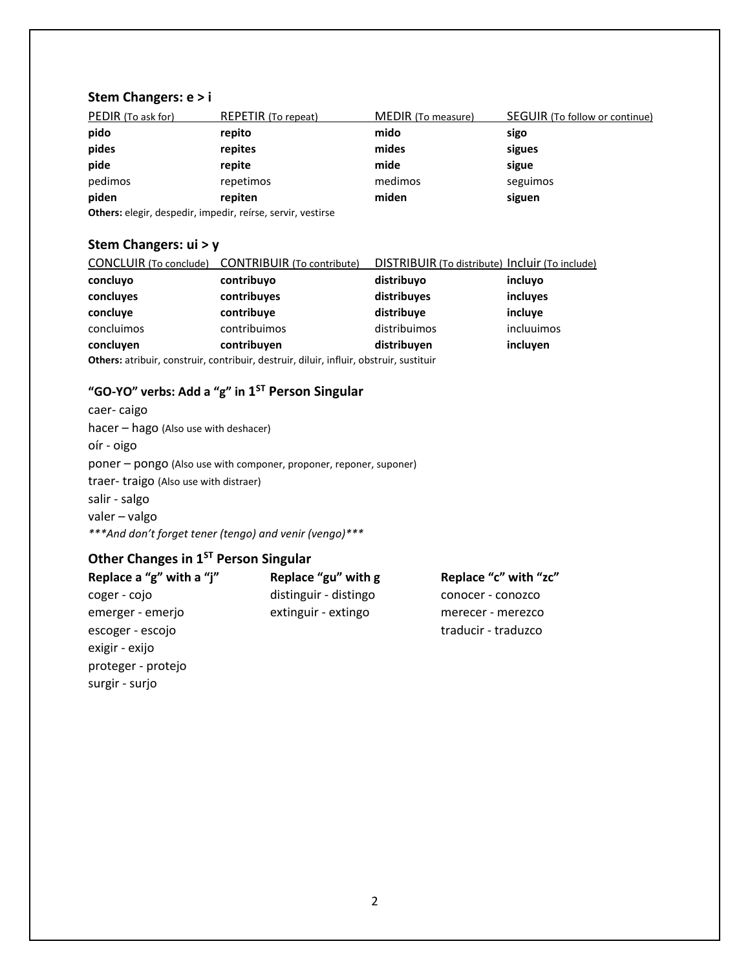## **Stem Changers: e > i**

| PEDIR (To ask for) | <b>REPETIR</b> (To repeat)                                      | <b>MEDIR</b> (To measure) | SEGUIR (To follow or continue) |
|--------------------|-----------------------------------------------------------------|---------------------------|--------------------------------|
| pido               | repito                                                          | mido                      | sigo                           |
| pides              | repites                                                         | mides                     | sigues                         |
| pide               | repite                                                          | mide                      | sigue                          |
| pedimos            | repetimos                                                       | medimos                   | seguimos                       |
| piden              | repiten                                                         | miden                     | siguen                         |
|                    | Athena, alasin, decorativ, incorativ, nafusa, campin, captinas, |                           |                                |

**Others:** elegir, despedir, impedir, reírse, servir, vestirse

## **Stem Changers: ui > y**

| <b>CONCLUIR</b> (To conclude)                                                           | <b>CONTRIBUIR</b> (To contribute) | DISTRIBUIR (To distribute) Incluir (To include) |            |
|-----------------------------------------------------------------------------------------|-----------------------------------|-------------------------------------------------|------------|
| concluyo                                                                                | contribuyo                        | distribuyo                                      | incluyo    |
| concluyes                                                                               | contribuyes                       | distribuyes                                     | incluyes   |
| concluve                                                                                | contribuye                        | distribuye                                      | incluye    |
| concluimos                                                                              | contribuimos                      | distribuimos                                    | incluuimos |
| concluven                                                                               | contribuyen                       | distribuyen                                     | incluyen   |
| Others: atribuir, construir, contribuir, destruir, diluir, influir, obstruir, sustituir |                                   |                                                 |            |

## **"GO-YO" verbs: Add a "g" in 1 ST Person Singular**

caer- caigo hacer – hago (Also use with deshacer) oír - oigo poner – pongo (Also use with componer, proponer, reponer, suponer) traer- traigo (Also use with distraer) salir - salgo valer – valgo *\*\*\*And don't forget tener (tengo) and venir (vengo)\*\*\**

# **Other Changes in 1ST Person Singular**

surgir - surjo

| Replace a "g" with a "j" | Replace "gu" with g   | Replace "c" with "zc" |
|--------------------------|-----------------------|-----------------------|
| coger - cojo             | distinguir - distingo | conocer - conozco     |
| emerger - emerjo         | extinguir - extingo   | merecer - merezco     |
| escoger - escojo         |                       | traducir - traduzco   |
| exigir - exijo           |                       |                       |
| proteger - protejo       |                       |                       |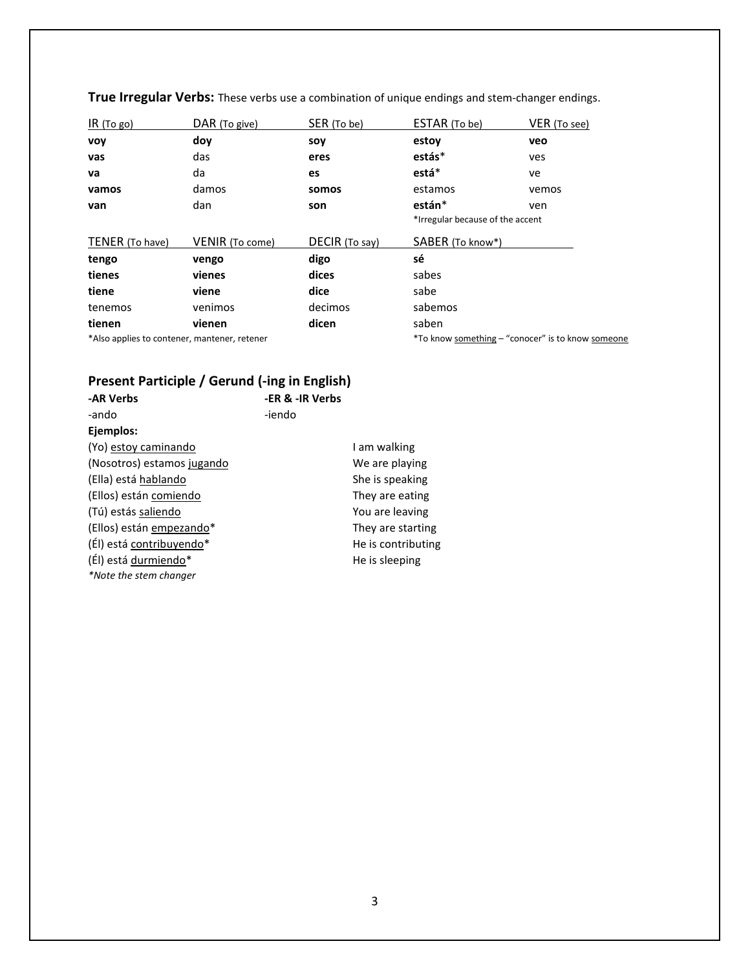| IR (To go)                                   | DAR (To give)          | SER (To be)    | ESTAR (To be)                    | VER (To see)                                      |
|----------------------------------------------|------------------------|----------------|----------------------------------|---------------------------------------------------|
| <b>VOV</b>                                   | dov                    | soy            | estoy                            | veo                                               |
| vas                                          | das                    | eres           | estás*                           | ves                                               |
| va                                           | da                     | es             | está*                            | ve                                                |
| vamos                                        | damos                  | somos          | estamos                          | vemos                                             |
| van                                          | dan                    | son            | están*                           | ven                                               |
|                                              |                        |                | *Irregular because of the accent |                                                   |
| TENER (To have)                              | <b>VENIR</b> (To come) | DECIR (To say) | SABER (To know*)                 |                                                   |
| tengo                                        | vengo                  | digo           | sé                               |                                                   |
| tienes                                       | vienes                 | dices          | sabes                            |                                                   |
| tiene                                        | viene                  | dice           | sabe                             |                                                   |
| tenemos                                      | venimos                | decimos        | sabemos                          |                                                   |
| tienen                                       | vienen                 | dicen          | saben                            |                                                   |
| *Also applies to contener, mantener, retener |                        |                |                                  | *To know something - "conocer" is to know someone |

**True Irregular Verbs:** These verbs use a combination of unique endings and stem-changer endings.

# **Present Participle / Gerund (-ing in English)**

| -AR Verbs                  | -ER & -IR Verbs |                    |
|----------------------------|-----------------|--------------------|
| -ando                      | -iendo          |                    |
| Ejemplos:                  |                 |                    |
| (Yo) estoy caminando       |                 | I am walking       |
| (Nosotros) estamos jugando |                 | We are playing     |
| (Ella) está hablando       |                 | She is speaking    |
| (Ellos) están comiendo     |                 | They are eating    |
| (Tú) estás saliendo        |                 | You are leaving    |
| (Ellos) están empezando*   |                 | They are starting  |
| (Él) está contribuyendo*   |                 | He is contributing |
| (Él) está durmiendo*       |                 | He is sleeping     |
| *Note the stem changer     |                 |                    |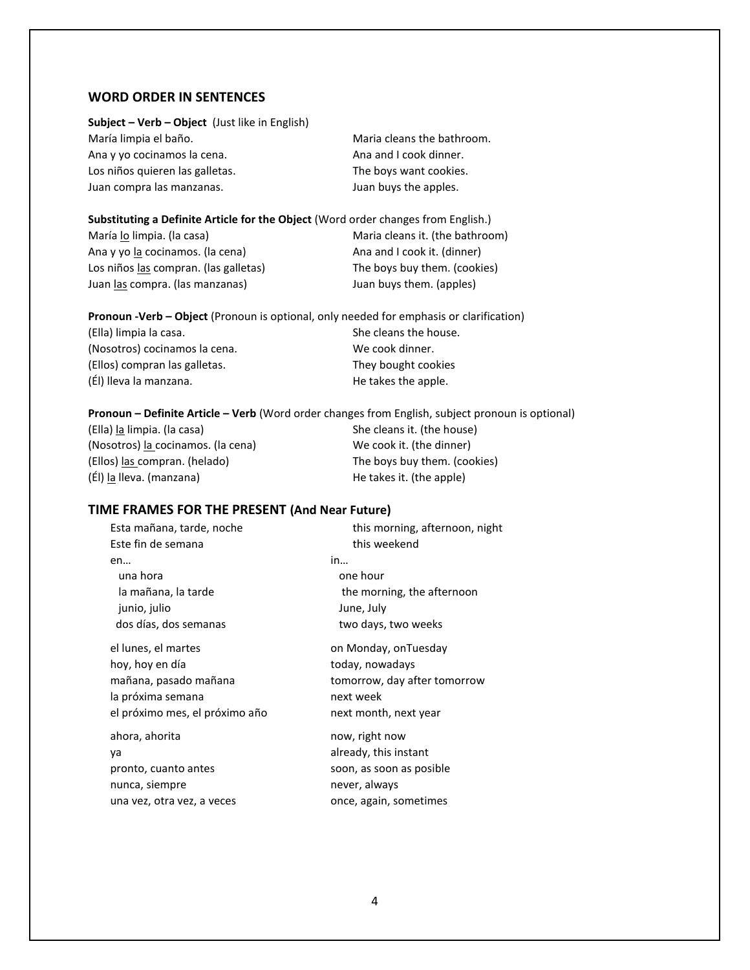### **WORD ORDER IN SENTENCES**

#### **Subject – Verb – Object** (Just like in English)

María limpia el baño. Como establecer a marca el maria cleans the bathroom. Ana y yo cocinamos la cena. Ana and I cook dinner. Los niños quieren las galletas. The boys want cookies. Juan compra las manzanas. The same service of the sum of the sum of the apples.

#### **Substituting a Definite Article for the Object** (Word order changes from English.)

María lo limpia. (la casa) Maria cleans it. (the bathroom) Ana y yo la cocinamos. (la cena) Ana and I cook it. (dinner) Los niños las compran. (las galletas) The boys buy them. (cookies) Juan las compra. (las manzanas) Juan buys them. (apples)

**Pronoun -Verb – Object** (Pronoun is optional, only needed for emphasis or clarification) (Ella) limpia la casa.  $S<sub>1</sub>$  she cleans the house. (Nosotros) cocinamos la cena. We cook dinner. (Ellos) compran las galletas. They bought cookies (El) lleva la manzana. (El) lleva la manzana.

#### **Pronoun – Definite Article – Verb** (Word order changes from English, subject pronoun is optional)

(Ella) la limpia. (la casa) She cleans it. (the house) (Nosotros) la cocinamos. (la cena) We cook it. (the dinner) (Ellos) las compran. (helado) The boys buy them. (cookies)  $(EI)$  la lleva. (manzana)  $H$ e takes it. (the apple)

### **TIME FRAMES FOR THE PRESENT (And Near Future)**

Esta mañana, tarde, noche this morning, afternoon, night Este fin de semana this weekend en… in… una hora **one hour** la mañana, la tarde the morning, the afternoon junio, julio June, July dos días, dos semanas two days, two weeks el lunes, el martes contrario en Monday, on Tuesday hoy, hoy en día today, nowadays mañana, pasado mañana tomorrow, day after tomorrow la próxima semana next week el próximo mes, el próximo año next month, next year ahora, ahorita now, right now ya already, this instant pronto, cuanto antes soon, as soon as posible nunca, siempre never, always

una vez, otra vez, a veces once, again, sometimes